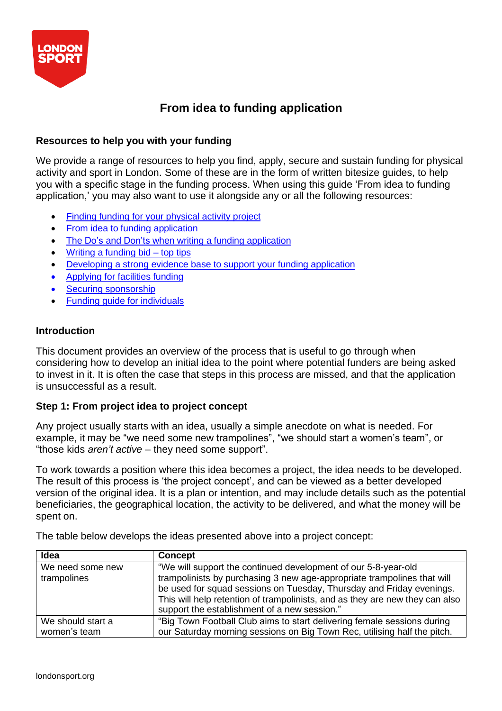

# **From idea to funding application**

# **Resources to help you with your funding**

We provide a range of resources to help you find, apply, secure and sustain funding for physical activity and sport in London. Some of these are in the form of written bitesize guides, to help you with a specific stage in the funding process. When using this guide 'From idea to funding application,' you may also want to use it alongside any or all the following resources:

- Finding funding for your [physical](https://londonsport.org/search-for-funding/) activity project
- From idea to funding [application](https://londonsport.org/funding-support/)
- The Do's and Don'ts when writing a funding [application](https://londonsport.org/funding-support/)
- Writing a [funding](https://londonsport.org/funding-bids/) bid top tips
- [Developing a](https://londonsport.org/funding-support/) strong evidence base to support your funding application
- [Applying](https://londonsport.org/funding-support/) for facilities funding
- Securing [sponsorship](https://londonsport.org/funding-support/)
- Funding guide for [individuals](https://londonsport.org/funding-support/)

## **Introduction**

This document provides an overview of the process that is useful to go through when considering how to develop an initial idea to the point where potential funders are being asked to invest in it. It is often the case that steps in this process are missed, and that the application is unsuccessful as a result.

## **Step 1: From project idea to project concept**

Any project usually starts with an idea, usually a simple anecdote on what is needed. For example, it may be "we need some new trampolines", "we should start a women's team", or "those kids *aren't active* – they need some support".

To work towards a position where this idea becomes a project, the idea needs to be developed. The result of this process is 'the project concept', and can be viewed as a better developed version of the original idea. It is a plan or intention, and may include details such as the potential beneficiaries, the geographical location, the activity to be delivered, and what the money will be spent on.

| Idea                              | <b>Concept</b>                                                                                                                                                                                                                                                                                                                                    |
|-----------------------------------|---------------------------------------------------------------------------------------------------------------------------------------------------------------------------------------------------------------------------------------------------------------------------------------------------------------------------------------------------|
| We need some new<br>trampolines   | "We will support the continued development of our 5-8-year-old<br>trampolinists by purchasing 3 new age-appropriate trampolines that will<br>be used for squad sessions on Tuesday, Thursday and Friday evenings.<br>This will help retention of trampolinists, and as they are new they can also<br>support the establishment of a new session." |
| We should start a<br>women's team | "Big Town Football Club aims to start delivering female sessions during<br>our Saturday morning sessions on Big Town Rec, utilising half the pitch.                                                                                                                                                                                               |

The table below develops the ideas presented above into a project concept: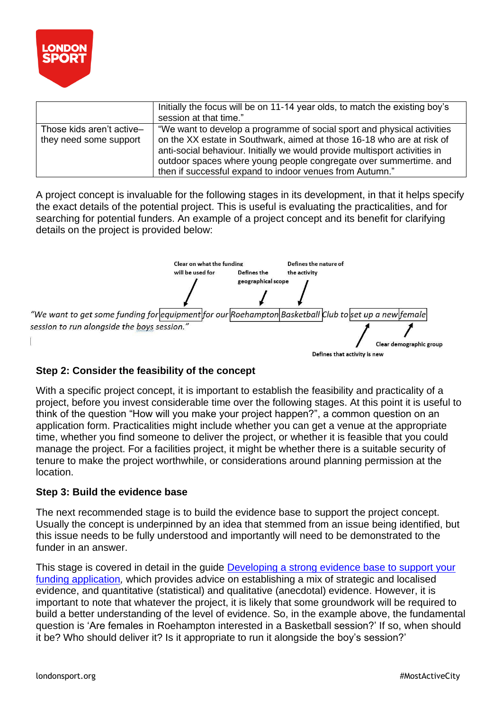

|                                                     | Initially the focus will be on 11-14 year olds, to match the existing boy's<br>session at that time."                                                                                                                                                                                                                                                            |
|-----------------------------------------------------|------------------------------------------------------------------------------------------------------------------------------------------------------------------------------------------------------------------------------------------------------------------------------------------------------------------------------------------------------------------|
| Those kids aren't active-<br>they need some support | "We want to develop a programme of social sport and physical activities<br>on the XX estate in Southwark, aimed at those 16-18 who are at risk of<br>anti-social behaviour. Initially we would provide multisport activities in<br>outdoor spaces where young people congregate over summertime. and<br>then if successful expand to indoor venues from Autumn." |

A project concept is invaluable for the following stages in its development, in that it helps specify the exact details of the potential project. This is useful is evaluating the practicalities, and for searching for potential funders. An example of a project concept and its benefit for clarifying details on the project is provided below:



# **Step 2: Consider the feasibility of the concept**

With a specific project concept, it is important to establish the feasibility and practicality of a project, before you invest considerable time over the following stages. At this point it is useful to think of the question "How will you make your project happen?", a common question on an application form. Practicalities might include whether you can get a venue at the appropriate time, whether you find someone to deliver the project, or whether it is feasible that you could manage the project. For a facilities project, it might be whether there is a suitable security of tenure to make the project worthwhile, or considerations around planning permission at the location.

## **Step 3: Build the evidence base**

The next recommended stage is to build the evidence base to support the project concept. Usually the concept is underpinned by an idea that stemmed from an issue being identified, but this issue needs to be fully understood and importantly will need to be demonstrated to the funder in an answer.

This stage is covered in detail in the guide [Developing a strong evidence base to support your](https://londonsport.org/funding-support/) [funding application](https://londonsport.org/funding-support/)*,* which provides advice on establishing a mix of strategic and localised evidence, and quantitative (statistical) and qualitative (anecdotal) evidence. However, it is important to note that whatever the project, it is likely that some groundwork will be required to build a better understanding of the level of evidence. So, in the example above, the fundamental question is 'Are females in Roehampton interested in a Basketball session?' If so, when should it be? Who should deliver it? Is it appropriate to run it alongside the boy's session?'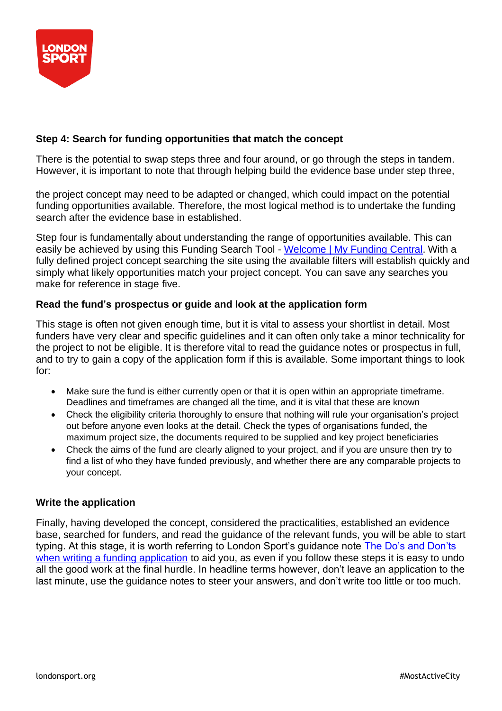

# **Step 4: Search for funding opportunities that match the concept**

There is the potential to swap steps three and four around, or go through the steps in tandem. However, it is important to note that through helping build the evidence base under step three,

the project concept may need to be adapted or changed, which could impact on the potential funding opportunities available. Therefore, the most logical method is to undertake the funding search after the evidence base in established.

Step four is fundamentally about understanding the range of opportunities available. This can easily be achieved by using this Funding Search Tool - [Welcome | My Funding Central.](https://www.myfundingcentral.co.uk/) With a fully defined project concept searching the site using the available filters will establish quickly and simply what likely opportunities match your project concept. You can save any searches you make for reference in stage five.

## **Read the fund's prospectus or guide and look at the application form**

This stage is often not given enough time, but it is vital to assess your shortlist in detail. Most funders have very clear and specific guidelines and it can often only take a minor technicality for the project to not be eligible. It is therefore vital to read the guidance notes or prospectus in full, and to try to gain a copy of the application form if this is available. Some important things to look for:

- Make sure the fund is either currently open or that it is open within an appropriate timeframe. Deadlines and timeframes are changed all the time, and it is vital that these are known
- Check the eligibility criteria thoroughly to ensure that nothing will rule your organisation's project out before anyone even looks at the detail. Check the types of organisations funded, the maximum project size, the documents required to be supplied and key project beneficiaries
- Check the aims of the fund are clearly aligned to your project, and if you are unsure then try to find a list of who they have funded previously, and whether there are any comparable projects to your concept.

#### **Write the application**

Finally, having developed the concept, considered the practicalities, established an evidence base, searched for funders, and read the guidance of the relevant funds, you will be able to start typing. At this stage, it is worth referring to London Sport's guidance note [The Do's and Don'ts](https://londonsport.org/funding-support/) [when writing a funding application](https://londonsport.org/funding-support/) to aid you, as even if you follow these steps it is easy to undo all the good work at the final hurdle. In headline terms however, don't leave an application to the last minute, use the guidance notes to steer your answers, and don't write too little or too much.